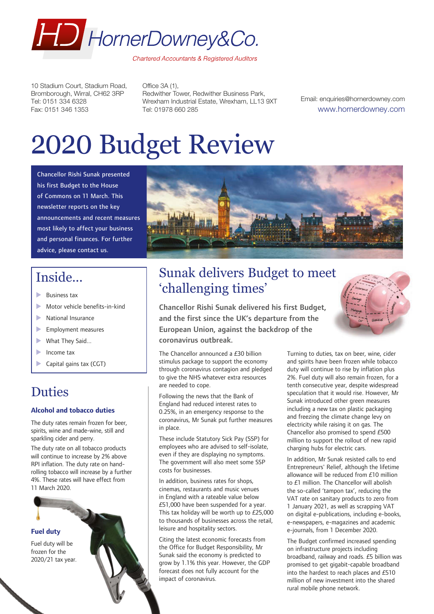

10 Stadium Court, Stadium Road, Bromborough, Wirral, CH62 3RP Tel: 0151 334 6328 Fax: 0151 346 1353

Office 3A (1), Redwither Tower, Redwither Business Park, Wrexham Industrial Estate, Wrexham, LL13 9XT Tel: 01978 660 285

Email: enquiries@hornerdowney.com www.hornerdowney.com

# 2020 Budget Review

Chancellor Rishi Sunak presented his first Budget to the House of Commons on 11 March. This newsletter reports on the key announcements and recent measures most likely to affect your business and personal finances. For further advice, please contact us.

# **Inside...**

- **Business tax**
- $\blacktriangleright$  Motor vehicle benefits-in-kind
- $\blacktriangleright$  National Insurance
- $\blacktriangleright$  Employment measures
- $\blacktriangleright$  What They Said...
- $\blacktriangleright$  Income tax
- Capital gains tax (CGT)

# Duties

#### **Alcohol and tobacco duties**

The duty rates remain frozen for beer, spirits, wine and made-wine, still and sparkling cider and perry.

The duty rate on all tobacco products will continue to increase by 2% above RPI inflation. The duty rate on handrolling tobacco will increase by a further 4%. These rates will have effect from 11 March 2020.

#### **Fuel duty**

Fuel duty will be frozen for the 2020/21 tax year.



# Sunak delivers Budget to meet 'challenging times'

Chancellor Rishi Sunak delivered his first Budget, and the first since the UK's departure from the European Union, against the backdrop of the coronavirus outbreak.

The Chancellor announced a £30 billion stimulus package to support the economy through coronavirus contagion and pledged to give the NHS whatever extra resources are needed to cope.

Following the news that the Bank of England had reduced interest rates to 0.25%, in an emergency response to the coronavirus, Mr Sunak put further measures in place.

These include Statutory Sick Pay (SSP) for employees who are advised to self-isolate, even if they are displaying no symptoms. The government will also meet some SSP costs for businesses.

In addition, business rates for shops, cinemas, restaurants and music venues in England with a rateable value below £51,000 have been suspended for a year. This tax holiday will be worth up to £25,000 to thousands of businesses across the retail, leisure and hospitality sectors.

Citing the latest economic forecasts from the Office for Budget Responsibility, Mr Sunak said the economy is predicted to grow by 1.1% this year. However, the GDP forecast does not fully account for the impact of coronavirus.

Turning to duties, tax on beer, wine, cider and spirits have been frozen while tobacco duty will continue to rise by inflation plus 2%. Fuel duty will also remain frozen, for a tenth consecutive year, despite widespread speculation that it would rise. However, Mr Sunak introduced other green measures including a new tax on plastic packaging and freezing the climate change levy on electricity while raising it on gas. The Chancellor also promised to spend £500 million to support the rollout of new rapid charging hubs for electric cars.

In addition, Mr Sunak resisted calls to end Entrepreneurs' Relief, although the lifetime allowance will be reduced from £10 million to £1 million. The Chancellor will abolish the so-called 'tampon tax', reducing the VAT rate on sanitary products to zero from 1 January 2021, as well as scrapping VAT on digital e-publications, including e-books, e-newspapers, e-magazines and academic e-journals, from 1 December 2020.

The Budget confirmed increased spending on infrastructure projects including broadband, railway and roads. £5 billion was promised to get gigabit-capable broadband into the hardest to reach places and £510 million of new investment into the shared rural mobile phone network.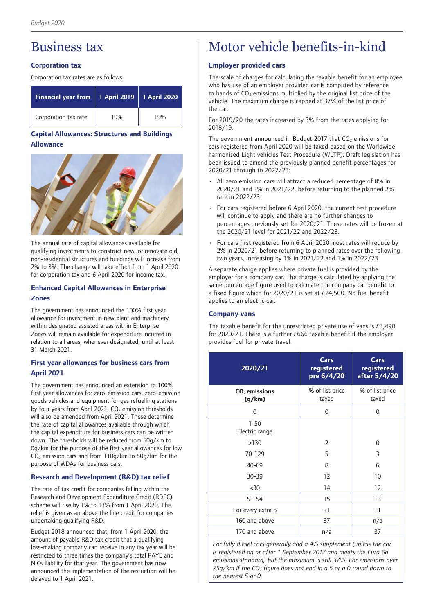# Business tax

### **Corporation tax**

Corporation tax rates are as follows:

| <b>Financial year from</b> | 1 April 2019 | 1 April 2020 |
|----------------------------|--------------|--------------|
| Corporation tax rate       | 19%          | 19%          |

## **Capital Allowances: Structures and Buildings Allowance**



The annual rate of capital allowances available for qualifying investments to construct new, or renovate old, non-residential structures and buildings will increase from 2% to 3%. The change will take effect from 1 April 2020 for corporation tax and 6 April 2020 for income tax.

### **Enhanced Capital Allowances in Enterprise Zones**

The government has announced the 100% first year allowance for investment in new plant and machinery within designated assisted areas within Enterprise Zones will remain available for expenditure incurred in relation to all areas, whenever designated, until at least 31 March 2021.

### **First year allowances for business cars from April 2021**

The government has announced an extension to 100% first year allowances for zero-emission cars, zero-emission goods vehicles and equipment for gas refuelling stations by four years from April 2021.  $CO<sub>2</sub>$  emission thresholds will also be amended from April 2021. These determine the rate of capital allowances available through which the capital expenditure for business cars can be written down. The thresholds will be reduced from 50g/km to 0g/km for the purpose of the first year allowances for low  $CO<sub>2</sub>$  emission cars and from  $110q/km$  to  $50q/km$  for the purpose of WDAs for business cars.

## **Research and Development (R&D) tax relief**

The rate of tax credit for companies falling within the Research and Development Expenditure Credit (RDEC) scheme will rise by 1% to 13% from 1 April 2020. This relief is given as an above the line credit for companies undertaking qualifying R&D.

Budget 2018 announced that, from 1 April 2020, the amount of payable R&D tax credit that a qualifying loss-making company can receive in any tax year will be restricted to three times the company's total PAYE and NICs liability for that year. The government has now announced the implementation of the restriction will be delayed to 1 April 2021.

# Motor vehicle benefits-in-kind

### **Employer provided cars**

The scale of charges for calculating the taxable benefit for an employee who has use of an employer provided car is computed by reference to bands of  $CO<sub>2</sub>$  emissions multiplied by the original list price of the vehicle. The maximum charge is capped at 37% of the list price of the car.

For 2019/20 the rates increased by 3% from the rates applying for 2018/19.

The government announced in Budget 2017 that  $CO<sub>2</sub>$  emissions for cars registered from April 2020 will be taxed based on the Worldwide harmonised Light vehicles Test Procedure (WLTP). Draft legislation has been issued to amend the previously planned benefit percentages for 2020/21 through to 2022/23:

- All zero emission cars will attract a reduced percentage of 0% in 2020/21 and 1% in 2021/22, before returning to the planned 2% rate in 2022/23.
- For cars registered before 6 April 2020, the current test procedure will continue to apply and there are no further changes to percentages previously set for 2020/21. These rates will be frozen at the 2020/21 level for 2021/22 and 2022/23.
- For cars first registered from 6 April 2020 most rates will reduce by 2% in 2020/21 before returning to planned rates over the following two years, increasing by 1% in 2021/22 and 1% in 2022/23.

A separate charge applies where private fuel is provided by the employer for a company car. The charge is calculated by applying the same percentage figure used to calculate the company car benefit to a fixed figure which for 2020/21 is set at £24,500. No fuel benefit applies to an electric car.

### **Company vans**

The taxable benefit for the unrestricted private use of vans is £3,490 for 2020/21. There is a further £666 taxable benefit if the employer provides fuel for private travel.

| 2020/21                    | Cars<br>registered<br>pre 6/4/20 | Cars<br>registered<br>after 5/4/20 |
|----------------------------|----------------------------------|------------------------------------|
| $CO2$ emissions<br>(q/km)  | % of list price<br>taxed         | % of list price<br>taxed           |
| 0                          | 0                                | 0                                  |
| $1 - 50$<br>Electric range |                                  |                                    |
| >130                       | $\overline{2}$                   | $\Omega$                           |
| 70-129                     | 5                                | 3                                  |
| $40 - 69$                  | 8                                | 6                                  |
| $30 - 39$                  | 12                               | 10                                 |
| $30$                       | 14                               | 12                                 |
| $51 - 54$                  | 15                               | 13                                 |
| For every extra 5          | $+1$                             | $+1$                               |
| 160 and above              | 37                               | n/a                                |
| 170 and above              | n/a                              | 37                                 |

*For fully diesel cars generally add a 4% supplement (unless the car is registered on or after 1 September 2017 and meets the Euro 6d emissions standard) but the maximum is still 37%. For emissions over 75g/km if the CO2 figure does not end in a 5 or a 0 round down to the nearest 5 or 0.*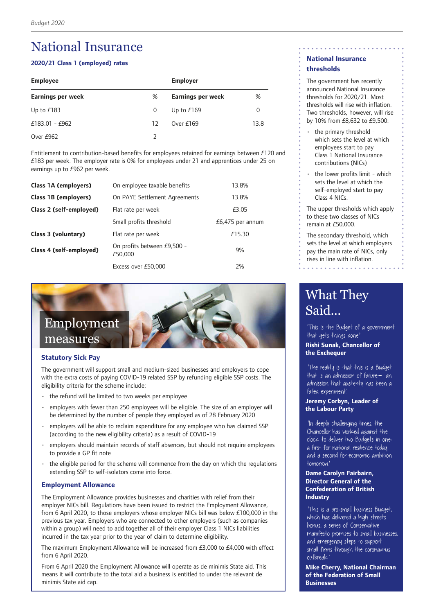# National Insurance

#### **2020/21 Class 1 (employed) rates**

| <b>Employee</b>   |    | <b>Employer</b>          |      |
|-------------------|----|--------------------------|------|
| Earnings per week | %  | <b>Earnings per week</b> | %    |
| Up to $£183$      | 0  | Up to $£169$             | 0    |
| $£183.01 - £962$  | 12 | Over $£169$              | 13.8 |
| Over £962         |    |                          |      |

Entitlement to contribution-based benefits for employees retained for earnings between £120 and £183 per week. The employer rate is 0% for employees under 21 and apprentices under 25 on earnings up to £962 per week.

| Class 1A (employers)    | On employee taxable benefits           | 13.8%              |
|-------------------------|----------------------------------------|--------------------|
| Class 1B (employers)    | On PAYE Settlement Agreements          | 13.8%              |
| Class 2 (self-employed) | Flat rate per week                     | £3.05              |
|                         | Small profits threshold                | $£6,475$ per annum |
| Class 3 (voluntary)     | Flat rate per week                     | £15.30             |
| Class 4 (self-employed) | On profits between £9,500 -<br>£50,000 | 9%                 |
|                         | Excess over £50,000                    | 2%                 |



#### **Statutory Sick Pay**

The government will support small and medium-sized businesses and employers to cope with the extra costs of paying COVID-19 related SSP by refunding eligible SSP costs. The eligibility criteria for the scheme include:

- the refund will be limited to two weeks per employee
- employers with fewer than 250 employees will be eligible. The size of an employer will be determined by the number of people they employed as of 28 February 2020
- employers will be able to reclaim expenditure for any employee who has claimed SSP (according to the new eligibility criteria) as a result of COVID-19
- employers should maintain records of staff absences, but should not require employees to provide a GP fit note
- the eligible period for the scheme will commence from the day on which the regulations extending SSP to self-isolators come into force.

#### **Employment Allowance**

The Employment Allowance provides businesses and charities with relief from their employer NICs bill. Regulations have been issued to restrict the Employment Allowance, from 6 April 2020, to those employers whose employer NICs bill was below £100,000 in the previous tax year. Employers who are connected to other employers (such as companies within a group) will need to add together all of their employer Class 1 NICs liabilities incurred in the tax year prior to the year of claim to determine eligibility.

The maximum Employment Allowance will be increased from  $E3,000$  to  $E4,000$  with effect from 6 April 2020.

From 6 April 2020 the Employment Allowance will operate as de minimis State aid. This means it will contribute to the total aid a business is entitled to under the relevant de minimis State aid cap.

# **National Insurance thresholds**

The government has recently announced National Insurance thresholds for 2020/21. Most thresholds will rise with inflation. Two thresholds, however, will rise by 10% from £8,632 to £9,500:

- the primary threshold which sets the level at which employees start to pay Class 1 National Insurance contributions (NICs)
- the lower profits limit which sets the level at which the self-employed start to pay Class 4 NICs.

The upper thresholds which apply to these two classes of NICs remain at £50,000.

The secondary threshold, which sets the level at which employers pay the main rate of NICs, only rises in line with inflation.

. . . . . . . . . . . . . . . .

# What They Said...

'This is the Budget of a government that gets things done.'

**Rishi Sunak, Chancellor of the Exchequer**

'The reality is that this is a Budget that is an admission of failure – an admission that austerity has been a failed experiment.'

**Jeremy Corbyn, Leader of the Labour Party** 

'In deeply challenging times, the Chancellor has worked against the clock to deliver two Budgets in one: a first for national resilience today and a second for economic ambition tomorrow.'

#### **Dame Carolyn Fairbairn, Director General of the Confederation of British Industry**

'This is a pro-small business Budget, which has delivered a high streets bonus, a series of Conservative manifesto promises to small businesses, and emergency steps to support small firms through the coronavirus outbreak.'

**Mike Cherry, National Chairman of the Federation of Small Businesses**